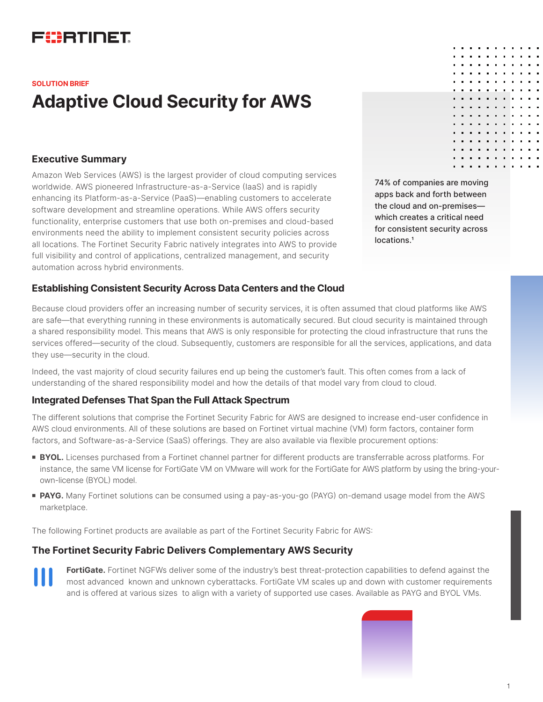## FURTIDET

#### **SOLUTION BRIEF**

# **Adaptive Cloud Security for AWS**

#### **Executive Summary**

Amazon Web Services (AWS) is the largest provider of cloud computing services worldwide. AWS pioneered Infrastructure-as-a-Service (IaaS) and is rapidly enhancing its Platform-as-a-Service (PaaS)—enabling customers to accelerate software development and streamline operations. While AWS offers security functionality, enterprise customers that use both on-premises and cloud-based environments need the ability to implement consistent security policies across all locations. The Fortinet Security Fabric natively integrates into AWS to provide full visibility and control of applications, centralized management, and security automation across hybrid environments.

**Establishing Consistent Security Across Data Centers and the Cloud**

Because cloud providers offer an increasing number of security services, it is often assumed that cloud platforms like AWS are safe—that everything running in these environments is automatically secured. But cloud security is maintained through a shared responsibility model. This means that AWS is only responsible for protecting the cloud infrastructure that runs the services offered—security of the cloud. Subsequently, customers are responsible for all the services, applications, and data they use—security in the cloud.

Indeed, the vast majority of cloud security failures end up being the customer's fault. This often comes from a lack of understanding of the shared responsibility model and how the details of that model vary from cloud to cloud.

#### **Integrated Defenses That Span the Full Attack Spectrum**

The different solutions that comprise the Fortinet Security Fabric for AWS are designed to increase end-user confidence in AWS cloud environments. All of these solutions are based on Fortinet virtual machine (VM) form factors, container form factors, and Software-as-a-Service (SaaS) offerings. They are also available via flexible procurement options:

- **BYOL.** Licenses purchased from a Fortinet channel partner for different products are transferrable across platforms. For instance, the same VM license for FortiGate VM on VMware will work for the FortiGate for AWS platform by using the bring-yourown-license (BYOL) model.
- **PAYG.** Many Fortinet solutions can be consumed using a pay-as-you-go (PAYG) on-demand usage model from the AWS marketplace.

The following Fortinet products are available as part of the Fortinet Security Fabric for AWS:

### **The Fortinet Security Fabric Delivers Complementary AWS Security**

**FortiGate.** Fortinet NGFWs deliver some of the industry's best threat-protection capabilities to defend against the most advanced known and unknown cyberattacks. FortiGate VM scales up and down with customer requirements and is offered at various sizes to align with a variety of supported use cases. Available as PAYG and BYOL VMs.



74% of companies are moving apps back and forth between the cloud and on-premises which creates a critical need for consistent security across locations.<sup>1</sup>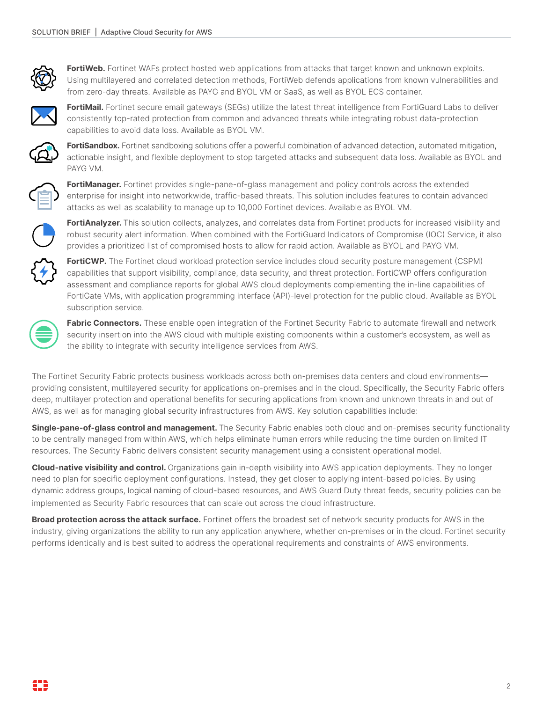

**FortiWeb.** Fortinet WAFs protect hosted web applications from attacks that target known and unknown exploits. Using multilayered and correlated detection methods, FortiWeb defends applications from known vulnerabilities and from zero-day threats. Available as PAYG and BYOL VM or SaaS, as well as BYOL ECS container.



**FortiMail.** Fortinet secure email gateways (SEGs) utilize the latest threat intelligence from FortiGuard Labs to deliver consistently top-rated protection from common and advanced threats while integrating robust data-protection capabilities to avoid data loss. Available as BYOL VM.



**FortiSandbox.** Fortinet sandboxing solutions offer a powerful combination of advanced detection, automated mitigation, actionable insight, and flexible deployment to stop targeted attacks and subsequent data loss. Available as BYOL and PAYG VM.



**FortiManager.** Fortinet provides single-pane-of-glass management and policy controls across the extended enterprise for insight into networkwide, traffic-based threats. This solution includes features to contain advanced attacks as well as scalability to manage up to 10,000 Fortinet devices. Available as BYOL VM.



**FortiAnalyzer.** This solution collects, analyzes, and correlates data from Fortinet products for increased visibility and robust security alert information. When combined with the FortiGuard Indicators of Compromise (IOC) Service, it also provides a prioritized list of compromised hosts to allow for rapid action. Available as BYOL and PAYG VM.



**FortiCWP.** The Fortinet cloud workload protection service includes cloud security posture management (CSPM) capabilities that support visibility, compliance, data security, and threat protection. FortiCWP offers configuration assessment and compliance reports for global AWS cloud deployments complementing the in-line capabilities of FortiGate VMs, with application programming interface (API)-level protection for the public cloud. Available as BYOL subscription service.



**Fabric Connectors.** These enable open integration of the Fortinet Security Fabric to automate firewall and network security insertion into the AWS cloud with multiple existing components within a customer's ecosystem, as well as the ability to integrate with security intelligence services from AWS.

The Fortinet Security Fabric protects business workloads across both on-premises data centers and cloud environments providing consistent, multilayered security for applications on-premises and in the cloud. Specifically, the Security Fabric offers deep, multilayer protection and operational benefits for securing applications from known and unknown threats in and out of AWS, as well as for managing global security infrastructures from AWS. Key solution capabilities include:

**Single-pane-of-glass control and management.** The Security Fabric enables both cloud and on-premises security functionality to be centrally managed from within AWS, which helps eliminate human errors while reducing the time burden on limited IT resources. The Security Fabric delivers consistent security management using a consistent operational model.

**Cloud-native visibility and control.** Organizations gain in-depth visibility into AWS application deployments. They no longer need to plan for specific deployment configurations. Instead, they get closer to applying intent-based policies. By using dynamic address groups, logical naming of cloud-based resources, and AWS Guard Duty threat feeds, security policies can be implemented as Security Fabric resources that can scale out across the cloud infrastructure.

**Broad protection across the attack surface.** Fortinet offers the broadest set of network security products for AWS in the industry, giving organizations the ability to run any application anywhere, whether on-premises or in the cloud. Fortinet security performs identically and is best suited to address the operational requirements and constraints of AWS environments.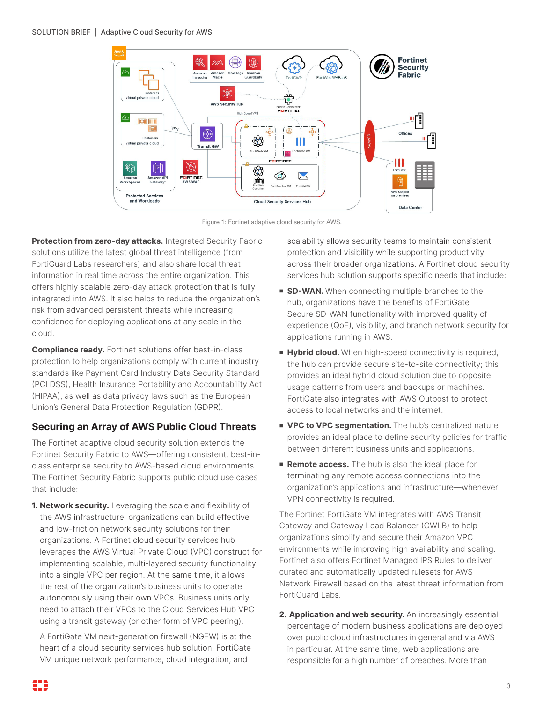

Figure 1: Fortinet adaptive cloud security for AWS.

**Protection from zero-day attacks.** Integrated Security Fabric solutions utilize the latest global threat intelligence (from FortiGuard Labs researchers) and also share local threat information in real time across the entire organization. This offers highly scalable zero-day attack protection that is fully integrated into AWS. It also helps to reduce the organization's risk from advanced persistent threats while increasing confidence for deploying applications at any scale in the cloud.

**Compliance ready.** Fortinet solutions offer best-in-class protection to help organizations comply with current industry standards like Payment Card Industry Data Security Standard (PCI DSS), Health Insurance Portability and Accountability Act (HIPAA), as well as data privacy laws such as the European Union's General Data Protection Regulation (GDPR).

### **Securing an Array of AWS Public Cloud Threats**

The Fortinet adaptive cloud security solution extends the Fortinet Security Fabric to AWS—offering consistent, best-inclass enterprise security to AWS-based cloud environments. The Fortinet Security Fabric supports public cloud use cases that include:

**1. Network security.** Leveraging the scale and flexibility of the AWS infrastructure, organizations can build effective and low-friction network security solutions for their organizations. A Fortinet cloud security services hub leverages the AWS Virtual Private Cloud (VPC) construct for implementing scalable, multi-layered security functionality into a single VPC per region. At the same time, it allows the rest of the organization's business units to operate autonomously using their own VPCs. Business units only need to attach their VPCs to the Cloud Services Hub VPC using a transit gateway (or other form of VPC peering).

A FortiGate VM next-generation firewall (NGFW) is at the heart of a cloud security services hub solution. FortiGate VM unique network performance, cloud integration, and

scalability allows security teams to maintain consistent protection and visibility while supporting productivity across their broader organizations. A Fortinet cloud security services hub solution supports specific needs that include:

- **sD-WAN.** When connecting multiple branches to the hub, organizations have the benefits of FortiGate Secure SD-WAN functionality with improved quality of experience (QoE), visibility, and branch network security for applications running in AWS.
- **Hybrid cloud.** When high-speed connectivity is required, the hub can provide secure site-to-site connectivity; this provides an ideal hybrid cloud solution due to opposite usage patterns from users and backups or machines. FortiGate also integrates with AWS Outpost to protect access to local networks and the internet.
- **NOC to VPC segmentation.** The hub's centralized nature provides an ideal place to define security policies for traffic between different business units and applications.
- **Remote access.** The hub is also the ideal place for terminating any remote access connections into the organization's applications and infrastructure—whenever VPN connectivity is required.

The Fortinet FortiGate VM integrates with AWS Transit Gateway and Gateway Load Balancer (GWLB) to help organizations simplify and secure their Amazon VPC environments while improving high availability and scaling. Fortinet also offers Fortinet Managed IPS Rules to deliver curated and automatically updated rulesets for AWS Network Firewall based on the latest threat information from FortiGuard Labs.

**2. Application and web security.** An increasingly essential percentage of modern business applications are deployed over public cloud infrastructures in general and via AWS in particular. At the same time, web applications are responsible for a high number of breaches. More than